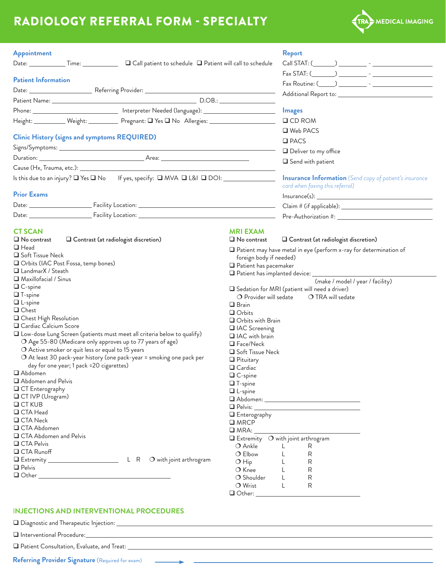# RADIOLOGY REFERRAL FORM - SPECIALTY



| Appointment<br>$\Box$ Call patient to schedule $\Box$ Patient will call to schedule                  |                                                   | <b>Report</b>                                                                                                                                                                                                                  |  |
|------------------------------------------------------------------------------------------------------|---------------------------------------------------|--------------------------------------------------------------------------------------------------------------------------------------------------------------------------------------------------------------------------------|--|
| <b>Patient Information</b>                                                                           |                                                   |                                                                                                                                                                                                                                |  |
|                                                                                                      |                                                   |                                                                                                                                                                                                                                |  |
|                                                                                                      |                                                   |                                                                                                                                                                                                                                |  |
|                                                                                                      |                                                   |                                                                                                                                                                                                                                |  |
| Phone: _______________________________ Interpreter Needed (language): ______________________________ |                                                   | <b>Images</b>                                                                                                                                                                                                                  |  |
| Height: ____________ Weight: ____________ Pregnant: Q Yes Q No Allergies: _________________________  |                                                   | $\Box$ CD ROM                                                                                                                                                                                                                  |  |
|                                                                                                      |                                                   | □ Web PACS                                                                                                                                                                                                                     |  |
| <b>Clinic History (signs and symptoms REQUIRED)</b>                                                  |                                                   | $\square$ PACS                                                                                                                                                                                                                 |  |
|                                                                                                      |                                                   |                                                                                                                                                                                                                                |  |
|                                                                                                      |                                                   | Deliver to my office                                                                                                                                                                                                           |  |
|                                                                                                      |                                                   | $\Box$ Send with patient                                                                                                                                                                                                       |  |
|                                                                                                      |                                                   |                                                                                                                                                                                                                                |  |
|                                                                                                      |                                                   | <b>Insurance Information</b> (Send copy of patient's insurance                                                                                                                                                                 |  |
| <b>Prior Exams</b>                                                                                   |                                                   | card when faxing this referral)                                                                                                                                                                                                |  |
|                                                                                                      |                                                   | $Insurance(s): \begin{tabular}{ c c c } \hline \multicolumn{3}{ c }{\textbf{Insurance}} (s): \end{tabular}$                                                                                                                    |  |
|                                                                                                      |                                                   |                                                                                                                                                                                                                                |  |
|                                                                                                      |                                                   |                                                                                                                                                                                                                                |  |
|                                                                                                      |                                                   |                                                                                                                                                                                                                                |  |
| <b>CT SCAN</b>                                                                                       | <b>MRI EXAM</b>                                   |                                                                                                                                                                                                                                |  |
| $\Box$ No contrast<br>□ Contrast (at radiologist discretion)                                         | $\Box$ No contrast                                | Contrast (at radiologist discretion)                                                                                                                                                                                           |  |
| $\Box$ Head<br>Soft Tissue Neck                                                                      |                                                   | $\Box$ Patient may have metal in eye (perform x-ray for determination of                                                                                                                                                       |  |
| Orbits (IAC Post Fossa, temp bones)                                                                  | foreign body if needed)                           |                                                                                                                                                                                                                                |  |
| □ LandmarX / Steath                                                                                  | $\Box$ Patient has pacemaker                      |                                                                                                                                                                                                                                |  |
|                                                                                                      |                                                   |                                                                                                                                                                                                                                |  |
| $\Box$ Maxillofacial / Sinus                                                                         |                                                   | (make / model / year / facility)                                                                                                                                                                                               |  |
| $\Box$ C-spine<br>$\Box$ T-spine                                                                     |                                                   | $\Box$ Sedation for MRI (patient will need a driver)                                                                                                                                                                           |  |
| $\Box$ L-spine                                                                                       | $\bigcirc$ Provider will sedate                   | O TRA will sedate                                                                                                                                                                                                              |  |
| $\Box$ Chest                                                                                         | $\Box$ Brain                                      |                                                                                                                                                                                                                                |  |
|                                                                                                      | $\Box$ Orbits                                     |                                                                                                                                                                                                                                |  |
| □ Chest High Resolution<br>□ Cardiac Calcium Score                                                   | Orbits with Brain                                 |                                                                                                                                                                                                                                |  |
| U Low-dose Lung Screen (patients must meet all criteria below to qualify)                            | □ IAC Screening                                   |                                                                                                                                                                                                                                |  |
| O Age 55-80 (Medicare only approves up to 77 years of age)                                           | IAC with brain                                    |                                                                                                                                                                                                                                |  |
| O Active smoker or quit less or equal to 15 years                                                    | $\Box$ Face/Neck                                  |                                                                                                                                                                                                                                |  |
| O At least 30 pack-year history (one pack-year = smoking one pack per                                | Soft Tissue Neck                                  |                                                                                                                                                                                                                                |  |
| day for one year; 1 pack = 20 cigarettes)                                                            | $\Box$ Pituitary                                  |                                                                                                                                                                                                                                |  |
| Abdomen                                                                                              | $\Box$ Cardiac                                    |                                                                                                                                                                                                                                |  |
| Abdomen and Pelvis                                                                                   | □ C-spine                                         |                                                                                                                                                                                                                                |  |
| □ CT Enterography                                                                                    | $\Box$ T-spine                                    |                                                                                                                                                                                                                                |  |
| □ CT IVP (Urogram)                                                                                   | $\Box$ L-spine                                    |                                                                                                                                                                                                                                |  |
| $C$ T KUB                                                                                            |                                                   |                                                                                                                                                                                                                                |  |
| □ CTA Head                                                                                           |                                                   |                                                                                                                                                                                                                                |  |
| <b>□ CTA Neck</b>                                                                                    | $\Box$ Enterography<br>$\square$ MRCP             |                                                                                                                                                                                                                                |  |
| □ CTA Abdomen                                                                                        |                                                   |                                                                                                                                                                                                                                |  |
| □ CTA Abdomen and Pelvis                                                                             | $\Box$ Extremity $\bigcirc$ with joint arthrogram |                                                                                                                                                                                                                                |  |
| <b>Q CTA Pelvis</b>                                                                                  | O Ankle                                           | $\mathsf{L}$<br>R                                                                                                                                                                                                              |  |
| <b>Q</b> CTA Runoff                                                                                  | $\bigcirc$ Elbow                                  | L<br>$\mathsf{R}$                                                                                                                                                                                                              |  |
| <b>Q</b> Extremity ______________________<br>$L \ R$ $O$ with joint arthrogram                       | $\bigcirc$ Hip                                    | R<br>L.                                                                                                                                                                                                                        |  |
| $\Box$ Pelvis                                                                                        | $\bigcirc$ Knee                                   | $\mathsf{R}$<br>L                                                                                                                                                                                                              |  |
|                                                                                                      | $\bigcirc$ Shoulder                               | $\mathsf{R}$<br>L                                                                                                                                                                                                              |  |
|                                                                                                      | $\bigcirc$ Wrist                                  | R<br>L                                                                                                                                                                                                                         |  |
|                                                                                                      |                                                   | Q Other: Website the Commission of the Commission of the Commission of the Commission of the Commission of the Commission of the Commission of the Commission of the Commission of the Commission of the Commission of the Com |  |
|                                                                                                      |                                                   |                                                                                                                                                                                                                                |  |

#### I**NJECTIONS AND INTERVENTIONAL PROCEDURES**

| $\Box$ Diagnostic and Therapeutic Injection: |  |  |
|----------------------------------------------|--|--|
|                                              |  |  |

**Q** Interventional Procedure:

□ Patient Consultation, Evaluate, and Treat:  $\_\_$ 

|  | <b>Referring Provider Signature</b> (Required for exam) |  |
|--|---------------------------------------------------------|--|
|  |                                                         |  |